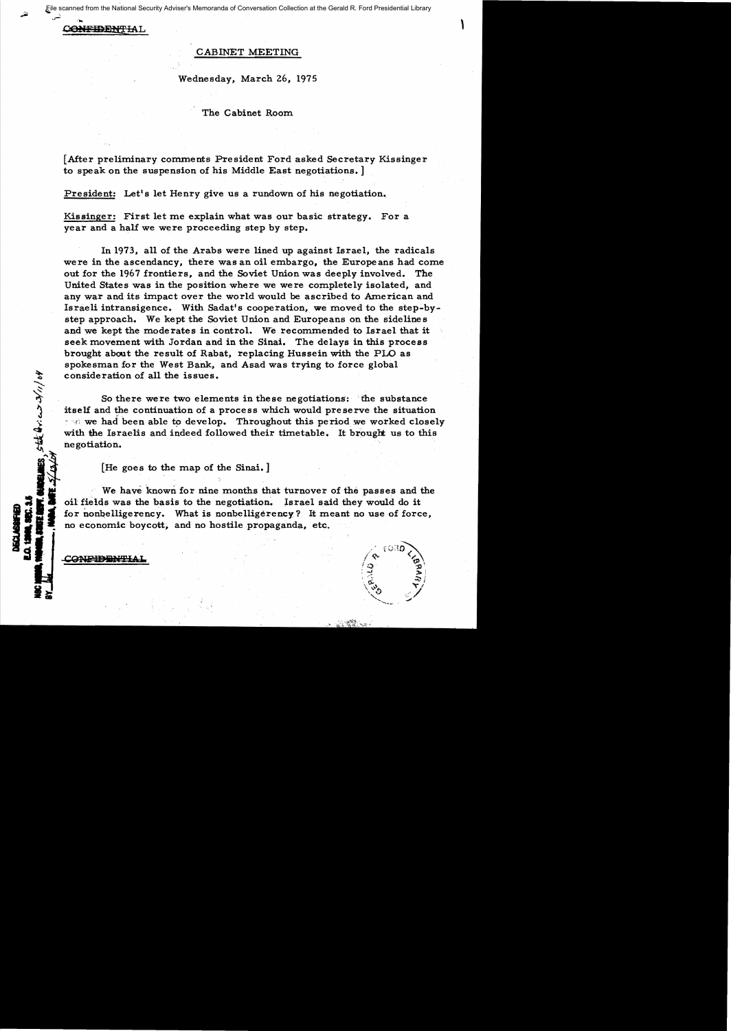File scanned from the National Security Adviser's Memoranda of Conversation Collection at the Gerald R. Ford Presidential Library

C<del>ONFIDENTI</del>AL

## CABINET MEETING

Wednesday, March 26, 1975

The Cabinet Room

[After preliminary comments President Ford asked Secretary Kissinger to speak on the suspension of his Middle East negotiations. ]

President: Let's let Henry give us a rundown of his negotiation.

Kissinger: First let me explain what was our basic strategy. For a year and a half we were proceeding step by step.

In 1973, all of the Arabs were lined up against Israel, the radicals were in the ascendancy, there was an oil embargo, the Europeans had come out for the 1967 frontiers, and the Soviet Union was deeply involved. The United States was in the position where we were completely isolated, and any war and its impact over the world would be ascribed to American and Israeli intransigence. With Sadat's cooperation, we moved to the step-bystep approach. We kept the Soviet Union and Europeans on the sidelines and we kept the moderates in control. We recommended to Israel that it seek movement with Jordan and in the Sinai. The delays in this process brought about the result of Rabat, replacing Hussein with the PLO as spokesman for the West Bank, and Asad was trying to force global <sup>~</sup> <> consideration of all the issues.

So there were two elements in these negotiations: the substance itself and the continuation of a process which would preserve the situation  $\sim$  we had been able to develop. Throughout this period we worked closely with the Israelis and indeed followed their timetable. It brought us to this negotiation.

[He goes to the map of the Sinai.]

We have known for nine months that turnover of the passes and the oil fields was the basis to the negotiation. Israel said they would do it for nonbelligerency. What is nonbelligerency? It meant no use of force, **EXAMPLE EXAMPLE EXAMPLE EXAMPLE EXAMPLE EXAMPLE EXAMPLE EXAMPLE EXAMPLE EXAMPLE EXAMPLE EXAMPLE EXAMPLE EXAMPLE EXAMPLE EXAMPLE EXAMPLE EXAMPLE EXAMPLE EXAMPLE EXAMPLE EXAMPLE EXAMPLE EXAMPLE EXAMPLE EXAMPLE EXAMPLE EXAMP** 

8.5点400000104

**INGLASSION**<br>Generalism



 $\overline{1}$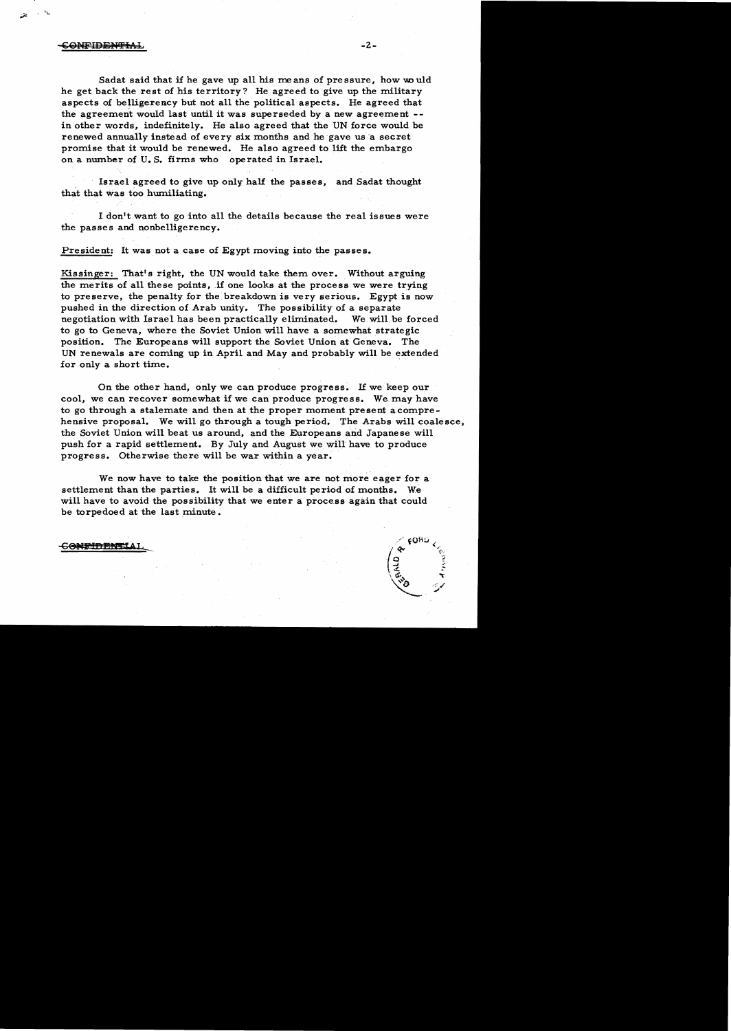## **ONFIDENTIAL**

್ತು **ಎಂ** 

Sadat said that if he gave up all his me ans of pressure, how would he get back the rest of his territory? He agreed to give up the military aspects of belligerency but not all the political aspects. He agreed that the agreement would last until it was superseded by a new agreement in other words, indefinitely. He also agreed that the UN force would be renewed annually instead of every six months and he gave us a secret promise that it would be renewed. He also agreed to lift the embargo on a number of U.S. firms who operated in Israel.

Israel agreed to give up only half the passes, and Sadat thought that that was too humiliating.

I don't want to go into all the details because the real issues were the passes and nonbelligerency.

President: It was not a case of Egypt moving into the passes.

Kissinger: That's right, the UN would take them over. Without arguing the merits of all these points, if one looks at the process we were trying to preserve, the penalty for the breakdown is very serious. Egypt is now pushed in the direction of Arab unity. The possibility of a separate negotiation with Israel has been practically eliminated. We will be forced to go to Geneva, where the Soviet Union will have a somewhat strategic position. The Europeans will support the Soviet Union at Geneva. The UN renewals are coming up in April and May and probably will be extended for only a short time.

On the other hand, only we can produce progress. If we keep our cool, we can recover somewhat if we can produce progress. We may have to go through a stalemate and then at the proper moment present acomprehensive proposal. We will go through a tough period. The Arabs will coalesce, the Soviet Union will beat us around, and the Europeans and Japanese will push for a rapid settlement. By July and August we will have to produce progress. Otherwise there will be war within a year.

We now have to take the position that we are not more eager for a settlement than the parties. It will be a difficult period of months. We will have to avoid the possibility that we enter a process again that could be torpedoed at the last minute.

## <del>CONFIDENTI</del>AI

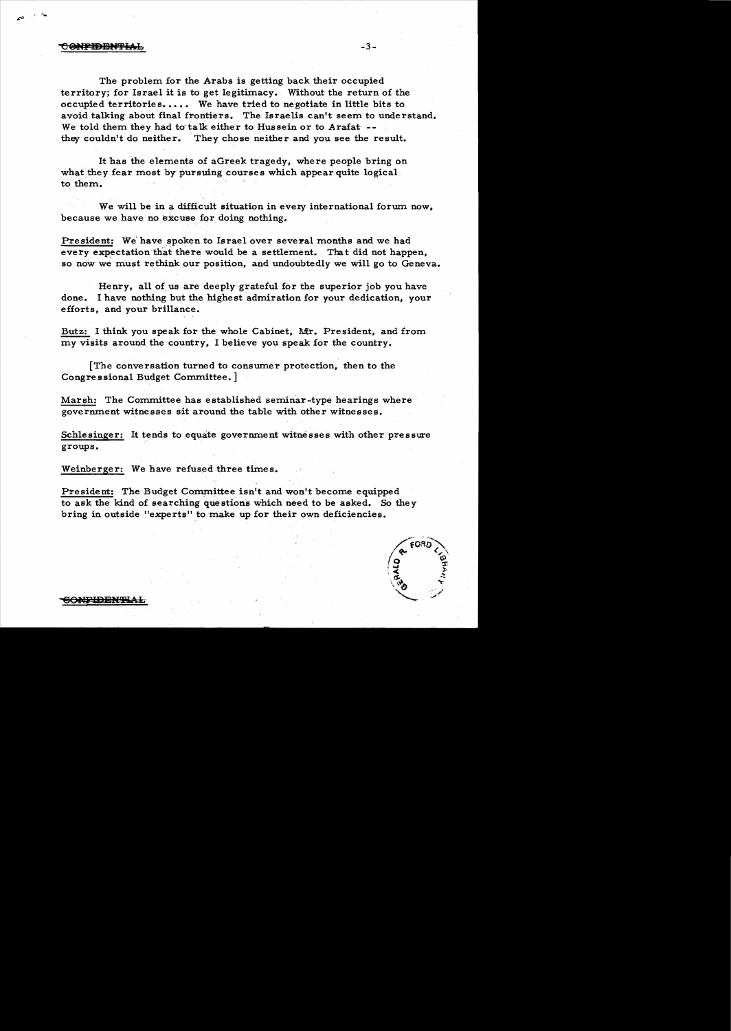## <del>CONFIDENTIAL</del>

"'..

The problem for the Arabs is getting back their occupied territory; for Israel it is to get legitimacy. Without the return of the occupied territories. ••• .We have tried to negotiate in little bits to avoid talking about final frontiers. The Israelis can't seem to understand. We told them they had to talk either to Hussein or to Arafat' -they couldn't do neither. They chose neither and you see the result.

It has the elements of aGreek tragedy, where people bring on what they fear most by pursuing courses which appear quite logical to them.

We will be in a difficult situation in every international forum now, because we have no excuse for doing nothing.

President: We have spoken to Israel over several months and we had every expectation that there would be a settlement. That did not happen, so now we must rethink our position, and undoubtedly we will go to Geneva.

Henry, all of us are deeply grateful for the superior job you have done. I have nothing but the highest admiration for your dedication, your efforts, and your brillance.

Butz: I think you speak for the whole Cabinet, Mr. President, and from my visits around the country, I believe you speak for the country.

[The conversation turned to consumer protection, then to the Congre s sional Budget Committee. ]

Marsh: The Committee has established seminar-type hearings where government witnesses sit around the table with other witnesses.

Schlesinger: It tends to equate government witnesses with other pressure groups.

Weinberger: We have refused three times.

President: The Budget Committee isn't and won't become equipped to ask the kind of searching que stions which need to be asked. So the y bring in outside "experts" to make up for their own deficiencies.

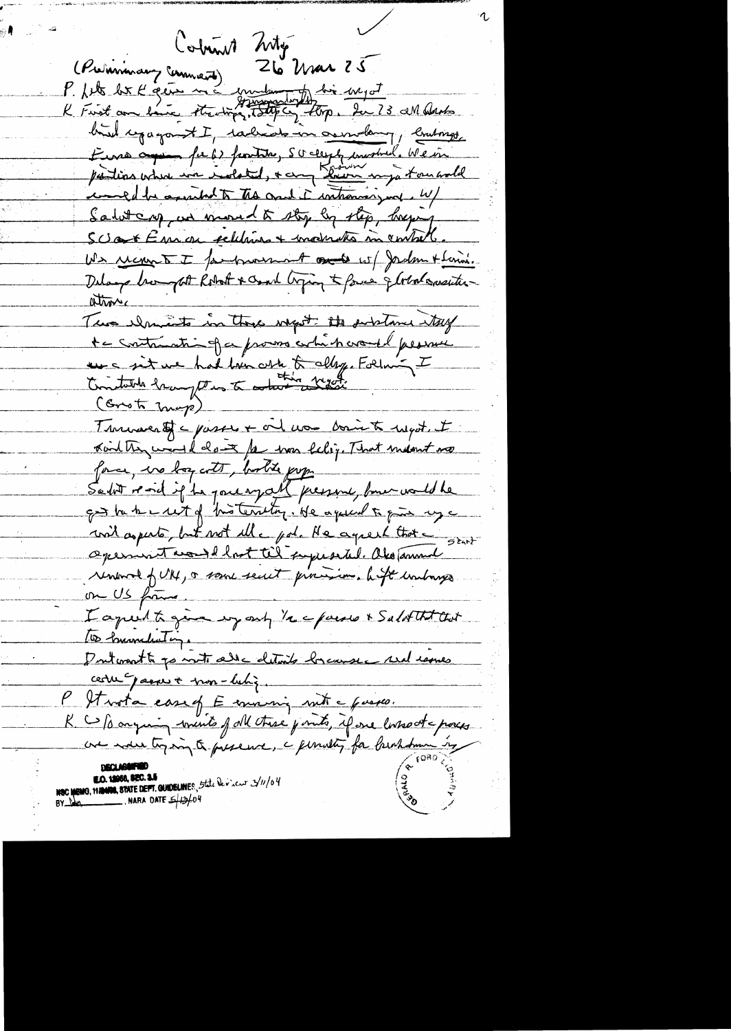Column 26 mar 25 (Premieran Command) Zle Mar 23<br>P. Nets best l'écrir ma mundemointer dire megat bird repagant I, tachedo in correlancy, brutings, Euros aque fu b) frontite, SC cleepty involved. We in parties where we wolated, + any Room mya tournold comed be assisted to the court i introving me. W/ Saturary, and moved to stop by step, begang Scot Eman relations + moderation membrel. We recomment I formorrowed to sel Jadam + terrai. Delays hours of Robert & Coast Coping & force & Color consistenatronic Tue chancets in the wayst. It subtance try te contradtion of a proves which would presence une sit une had ben oste to alleg. Folim - I (Grot map) Turnacest = passes + oil non boin to myst. I Kind they would close for was lelig. That meant no force, in boyants, bootte pop "<br>Salot resid if he parenyal present, bout would be got be to can't of "his territory. He against to give my a mil asperto, but not elle pod. He aquest that a start aperment would lost til superseted. Oko Tammel renewed full, a some secut principle in hope unhanges on US frame I aprent to give my only 1/2 c poise & Salat that that 100 burnedeatings Doutcoast to point alle details branse and remes certe passer + mon-lutiq. It vota casef E mining mit a queses. R C / sorgion wints of all these points, if one lasso at a poses une moise toging to presence, a pendant for brokham in NEC MEMO, MANIOR, STATE DEPT. GUIDELINES, 5the Devicut 3/11/04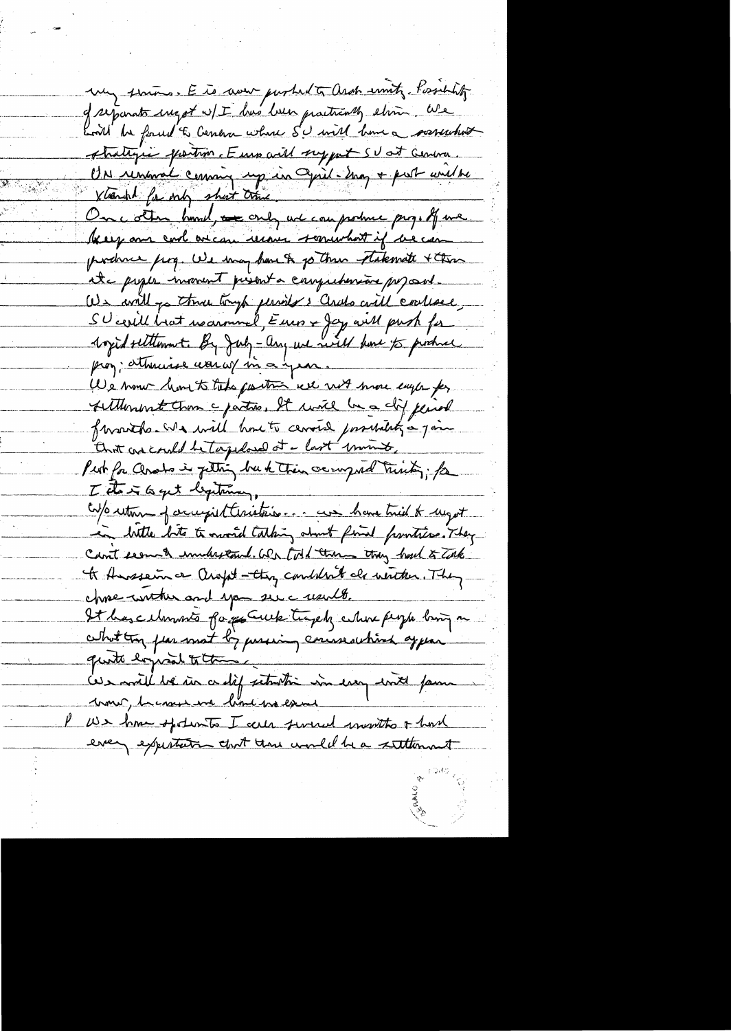my serious. E is now purhed to arch smith, Possibility. of reparats ingot w/I has been practically elimin. We Lort be found to Center where SU will have a sorrection strategie prostim. Euro will support SU at Genera UN renance coming up in Cyril-Ing + post unebe Xtrench for only short this On cother hourd, we only not can protect proget force beery and cool over the membership we can porchace fing. We way have to go three takemate + three ite poper moment prisent a comprehensive proposed. We will go thru tryp perils's Cerals will contact SUcerell brat resammel, Euro + Jay au 11 push fu 1 opid settlement. By July-any we will have to produce prog; attracted was w/ in a year. We none have to take partire we with more eagle for sitterment than a parties. It will be a clif juich franthe was will have to censer passibility a join that are could be tagedous at - last minute Put for Cerato in fetting but their occupied trinks; for I do i to get legitimar, Co/o return of accept theristics... we have tried to night in butter bits to overal talking about find pointies. They Count seems & understand. We told them they had to Take to Anssein or arget - they condition als written. They chose wrther and you see create. It has cellmonts forgot uck traph where people bing on what try fear mot by passing conservative appear quite logical to the Les mille ve un ce dif seturition in essay with fame come, he come we have worked U.S. home of distribute I call survey it won't be had every expertation that there would be a settlement